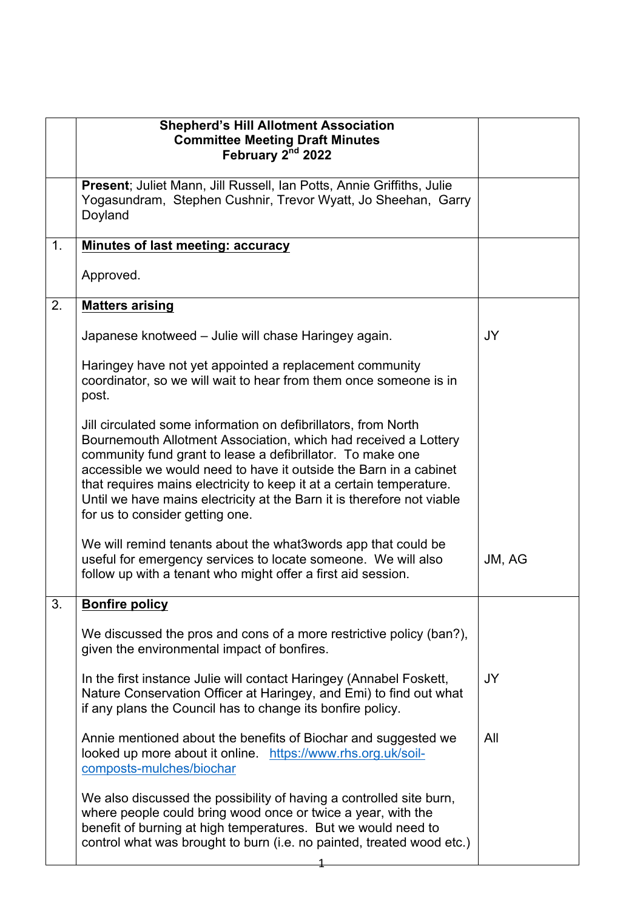|    | <b>Shepherd's Hill Allotment Association</b><br><b>Committee Meeting Draft Minutes</b><br>February 2 <sup>nd</sup> 2022                                                                                                                                                                                                                                                                                                                                   |           |
|----|-----------------------------------------------------------------------------------------------------------------------------------------------------------------------------------------------------------------------------------------------------------------------------------------------------------------------------------------------------------------------------------------------------------------------------------------------------------|-----------|
|    | Present; Juliet Mann, Jill Russell, Ian Potts, Annie Griffiths, Julie<br>Yogasundram, Stephen Cushnir, Trevor Wyatt, Jo Sheehan, Garry<br>Doyland                                                                                                                                                                                                                                                                                                         |           |
| 1. | Minutes of last meeting: accuracy                                                                                                                                                                                                                                                                                                                                                                                                                         |           |
|    | Approved.                                                                                                                                                                                                                                                                                                                                                                                                                                                 |           |
| 2. | <b>Matters arising</b>                                                                                                                                                                                                                                                                                                                                                                                                                                    |           |
|    | Japanese knotweed - Julie will chase Haringey again.                                                                                                                                                                                                                                                                                                                                                                                                      | JY        |
|    | Haringey have not yet appointed a replacement community<br>coordinator, so we will wait to hear from them once someone is in<br>post.                                                                                                                                                                                                                                                                                                                     |           |
|    | Jill circulated some information on defibrillators, from North<br>Bournemouth Allotment Association, which had received a Lottery<br>community fund grant to lease a defibrillator. To make one<br>accessible we would need to have it outside the Barn in a cabinet<br>that requires mains electricity to keep it at a certain temperature.<br>Until we have mains electricity at the Barn it is therefore not viable<br>for us to consider getting one. |           |
|    | We will remind tenants about the what 3 words app that could be<br>useful for emergency services to locate someone. We will also<br>follow up with a tenant who might offer a first aid session.                                                                                                                                                                                                                                                          | JM, AG    |
| 3. | <b>Bonfire policy</b>                                                                                                                                                                                                                                                                                                                                                                                                                                     |           |
|    | We discussed the pros and cons of a more restrictive policy (ban?),<br>given the environmental impact of bonfires.                                                                                                                                                                                                                                                                                                                                        |           |
|    | In the first instance Julie will contact Haringey (Annabel Foskett,<br>Nature Conservation Officer at Haringey, and Emi) to find out what<br>if any plans the Council has to change its bonfire policy.                                                                                                                                                                                                                                                   | <b>JY</b> |
|    | Annie mentioned about the benefits of Biochar and suggested we<br>looked up more about it online. https://www.rhs.org.uk/soil-<br>composts-mulches/biochar                                                                                                                                                                                                                                                                                                | All       |
|    | We also discussed the possibility of having a controlled site burn,<br>where people could bring wood once or twice a year, with the<br>benefit of burning at high temperatures. But we would need to<br>control what was brought to burn (i.e. no painted, treated wood etc.)                                                                                                                                                                             |           |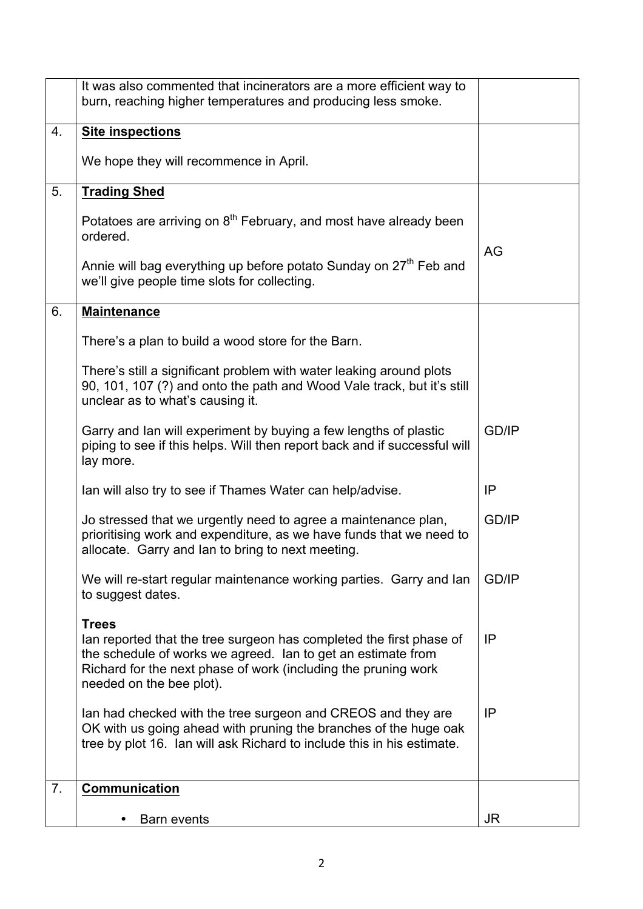|                | It was also commented that incinerators are a more efficient way to<br>burn, reaching higher temperatures and producing less smoke.                                                                                                               |              |
|----------------|---------------------------------------------------------------------------------------------------------------------------------------------------------------------------------------------------------------------------------------------------|--------------|
| 4.             | <b>Site inspections</b>                                                                                                                                                                                                                           |              |
|                | We hope they will recommence in April.                                                                                                                                                                                                            |              |
| 5.             | <b>Trading Shed</b>                                                                                                                                                                                                                               |              |
|                | Potatoes are arriving on 8 <sup>th</sup> February, and most have already been<br>ordered.                                                                                                                                                         |              |
|                | Annie will bag everything up before potato Sunday on 27 <sup>th</sup> Feb and<br>we'll give people time slots for collecting.                                                                                                                     | AG           |
| 6.             | <b>Maintenance</b>                                                                                                                                                                                                                                |              |
|                | There's a plan to build a wood store for the Barn.                                                                                                                                                                                                |              |
|                | There's still a significant problem with water leaking around plots<br>90, 101, 107 (?) and onto the path and Wood Vale track, but it's still<br>unclear as to what's causing it.                                                                 |              |
|                | Garry and Ian will experiment by buying a few lengths of plastic<br>piping to see if this helps. Will then report back and if successful will<br>lay more.                                                                                        | <b>GD/IP</b> |
|                | Ian will also try to see if Thames Water can help/advise.                                                                                                                                                                                         | IP           |
|                | Jo stressed that we urgently need to agree a maintenance plan,<br>prioritising work and expenditure, as we have funds that we need to<br>allocate. Garry and lan to bring to next meeting.                                                        | <b>GD/IP</b> |
|                | We will re-start regular maintenance working parties. Garry and lan<br>to suggest dates.                                                                                                                                                          | <b>GD/IP</b> |
|                | <b>Trees</b><br>lan reported that the tree surgeon has completed the first phase of<br>the schedule of works we agreed. Ian to get an estimate from<br>Richard for the next phase of work (including the pruning work<br>needed on the bee plot). | IP           |
|                | lan had checked with the tree surgeon and CREOS and they are<br>OK with us going ahead with pruning the branches of the huge oak<br>tree by plot 16. Ian will ask Richard to include this in his estimate.                                        | IP           |
| 7 <sub>1</sub> | <b>Communication</b>                                                                                                                                                                                                                              |              |
|                | <b>Barn events</b>                                                                                                                                                                                                                                | JR.          |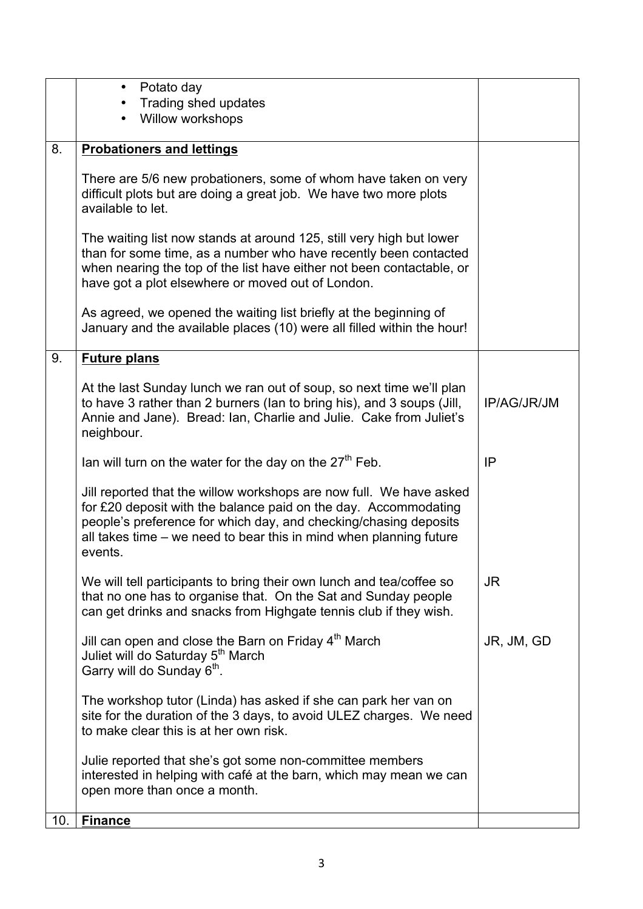|     | Potato day<br>$\bullet$                                                                                                                                                                                                                                                                     |             |
|-----|---------------------------------------------------------------------------------------------------------------------------------------------------------------------------------------------------------------------------------------------------------------------------------------------|-------------|
|     | Trading shed updates<br>Willow workshops                                                                                                                                                                                                                                                    |             |
|     |                                                                                                                                                                                                                                                                                             |             |
| 8.  | <b>Probationers and lettings</b>                                                                                                                                                                                                                                                            |             |
|     | There are 5/6 new probationers, some of whom have taken on very<br>difficult plots but are doing a great job. We have two more plots<br>available to let.                                                                                                                                   |             |
|     | The waiting list now stands at around 125, still very high but lower<br>than for some time, as a number who have recently been contacted<br>when nearing the top of the list have either not been contactable, or<br>have got a plot elsewhere or moved out of London.                      |             |
|     | As agreed, we opened the waiting list briefly at the beginning of<br>January and the available places (10) were all filled within the hour!                                                                                                                                                 |             |
| 9.  | <b>Future plans</b>                                                                                                                                                                                                                                                                         |             |
|     | At the last Sunday lunch we ran out of soup, so next time we'll plan<br>to have 3 rather than 2 burners (lan to bring his), and 3 soups (Jill,<br>Annie and Jane). Bread: Ian, Charlie and Julie. Cake from Juliet's<br>neighbour.                                                          | IP/AG/JR/JM |
|     | Ian will turn on the water for the day on the $27th$ Feb.                                                                                                                                                                                                                                   | IP          |
|     | Jill reported that the willow workshops are now full. We have asked<br>for £20 deposit with the balance paid on the day. Accommodating<br>people's preference for which day, and checking/chasing deposits<br>all takes time – we need to bear this in mind when planning future<br>events. |             |
|     | We will tell participants to bring their own lunch and tea/coffee so<br>that no one has to organise that. On the Sat and Sunday people<br>can get drinks and snacks from Highgate tennis club if they wish.                                                                                 | <b>JR</b>   |
|     | Jill can open and close the Barn on Friday 4 <sup>th</sup> March<br>Juliet will do Saturday 5 <sup>th</sup> March<br>Garry will do Sunday 6 <sup>th</sup> .                                                                                                                                 | JR, JM, GD  |
|     | The workshop tutor (Linda) has asked if she can park her van on<br>site for the duration of the 3 days, to avoid ULEZ charges. We need<br>to make clear this is at her own risk.                                                                                                            |             |
|     | Julie reported that she's got some non-committee members<br>interested in helping with café at the barn, which may mean we can<br>open more than once a month.                                                                                                                              |             |
| 10. | <b>Finance</b>                                                                                                                                                                                                                                                                              |             |